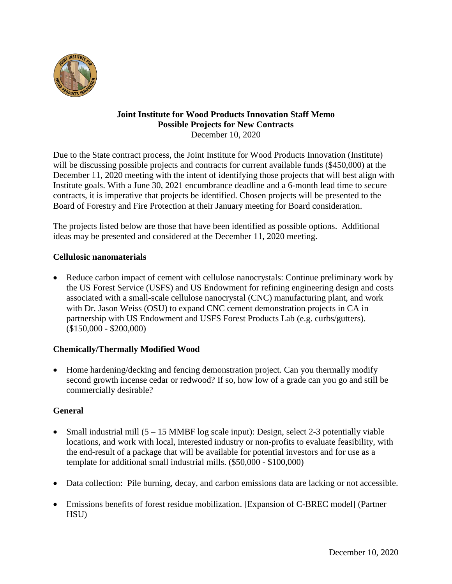

#### **Joint Institute for Wood Products Innovation Staff Memo Possible Projects for New Contracts** December 10, 2020

Due to the State contract process, the Joint Institute for Wood Products Innovation (Institute) will be discussing possible projects and contracts for current available funds (\$450,000) at the December 11, 2020 meeting with the intent of identifying those projects that will best align with Institute goals. With a June 30, 2021 encumbrance deadline and a 6-month lead time to secure contracts, it is imperative that projects be identified. Chosen projects will be presented to the Board of Forestry and Fire Protection at their January meeting for Board consideration.

The projects listed below are those that have been identified as possible options. Additional ideas may be presented and considered at the December 11, 2020 meeting.

# **Cellulosic nanomaterials**

• Reduce carbon impact of cement with cellulose nanocrystals: Continue preliminary work by the US Forest Service (USFS) and US Endowment for refining engineering design and costs associated with a small-scale cellulose nanocrystal (CNC) manufacturing plant, and work with Dr. Jason Weiss (OSU) to expand CNC cement demonstration projects in CA in partnership with US Endowment and USFS Forest Products Lab (e.g. curbs/gutters). (\$150,000 - \$200,000)

# **Chemically/Thermally Modified Wood**

• Home hardening/decking and fencing demonstration project. Can you thermally modify second growth incense cedar or redwood? If so, how low of a grade can you go and still be commercially desirable?

# **General**

- Small industrial mill  $(5 15 \text{ MMBF} \log \text{scale input})$ : Design, select 2-3 potentially viable locations, and work with local, interested industry or non-profits to evaluate feasibility, with the end-result of a package that will be available for potential investors and for use as a template for additional small industrial mills. (\$50,000 - \$100,000)
- Data collection: Pile burning, decay, and carbon emissions data are lacking or not accessible.
- Emissions benefits of forest residue mobilization. [Expansion of C-BREC model] (Partner HSU)